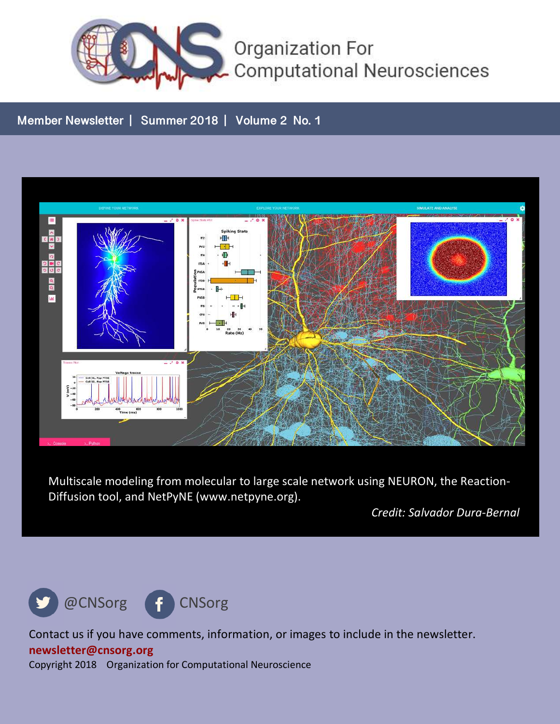

#### **Member Newsletter | Summer 2018 | Volume 2 No. 1**



Multiscale modeling from molecular to large scale network using NEURON, the Reaction-Diffusion tool, and NetPyNE (www.netpyne.org).

*Credit: Salvador Dura-Bernal*



Contact us if you have comments, information, or images to include in the newsletter. **newsletter@cnsorg.org** Copyright 2018 Organization for Computational Neuroscience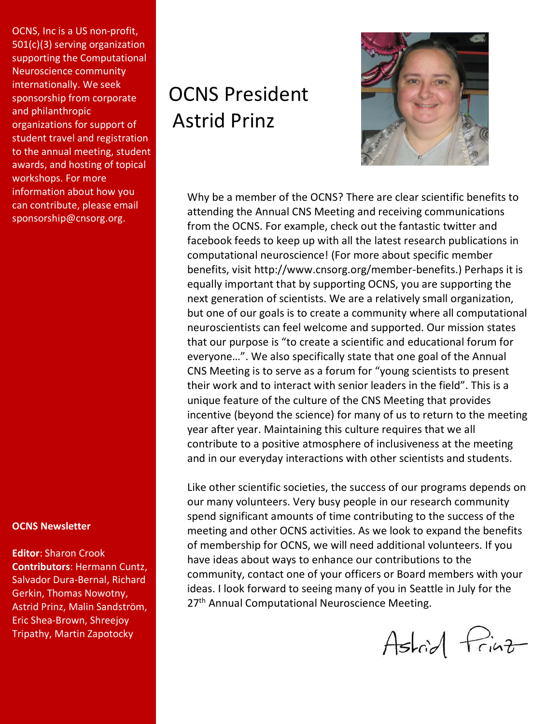OCNS, Inc is a US non-profit, 501(c)(3) serving organization supporting the Computational Neuroscience community internationally. We seek sponsorship from corporate and philanthropic organizations for support of student travel and registration to the annual meeting, student awards, and hosting of topical workshops. For more information about how you can contribute, please email sponsorship@cnsorg.org.

#### **OCNS Newsletter**

**Editor**: Sharon Crook **Contributors**: Hermann Cuntz, Salvador Dura-Bernal, Richard Gerkin, Thomas Nowotny, Astrid Prinz, Malin Sandström, Eric Shea-Brown, Shreejoy Tripathy, Martin Zapotocky

## OCNS President Astrid Prinz



Why be a member of the OCNS? There are clear scientific benefits to attending the Annual CNS Meeting and receiving communications from the OCNS. For example, check out the fantastic twitter and facebook feeds to keep up with all the latest research publications in computational neuroscience! (For more about specific member benefits, visit http://www.cnsorg.org/member-benefits.) Perhaps it is equally important that by supporting OCNS, you are supporting the next generation of scientists. We are a relatively small organization, but one of our goals is to create a community where all computational neuroscientists can feel welcome and supported. Our mission states that our purpose is "to create a scientific and educational forum for everyone…". We also specifically state that one goal of the Annual CNS Meeting is to serve as a forum for "young scientists to present their work and to interact with senior leaders in the field". This is a unique feature of the culture of the CNS Meeting that provides incentive (beyond the science) for many of us to return to the meeting year after year. Maintaining this culture requires that we all contribute to a positive atmosphere of inclusiveness at the meeting and in our everyday interactions with other scientists and students.

Like other scientific societies, the success of our programs depends on our many volunteers. Very busy people in our research community spend significant amounts of time contributing to the success of the meeting and other OCNS activities. As we look to expand the benefits of membership for OCNS, we will need additional volunteers. If you have ideas about ways to enhance our contributions to the community, contact one of your officers or Board members with your ideas. I look forward to seeing many of you in Seattle in July for the 27<sup>th</sup> Annual Computational Neuroscience Meeting.

Astrid Print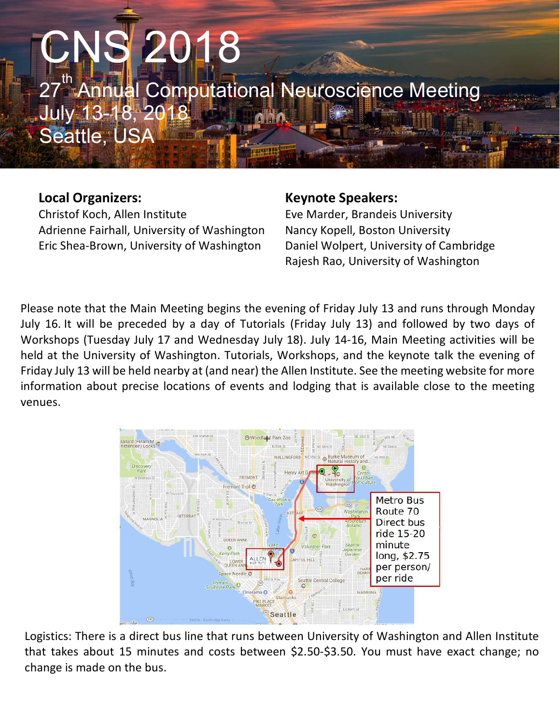# CNS 2018 "Annual Computational Neuroscience Meeting July 13-18, 2018 Seattle, USA

#### **Local Organizers:**

Christof Koch, Allen Institute Adrienne Fairhall, University of Washington Eric Shea-Brown, University of Washington

#### **Keynote Speakers:**

Eve Marder, Brandeis University Nancy Kopell, Boston University Daniel Wolpert, University of Cambridge Rajesh Rao, University of Washington

Please note that the Main Meeting begins the evening of Friday July 13 and runs through Monday July 16. It will be preceded by a day of Tutorials (Friday July 13) and followed by two days of Workshops (Tuesday July 17 and Wednesday July 18). July 14-16, Main Meeting activities will be held at the University of Washington. Tutorials, Workshops, and the keynote talk the evening of Friday July 13 will be held nearby at (and near) the Allen Institute. See the meeting website for more information about precise locations of events and lodging that is available close to the meeting venues.



Logistics: There is a direct bus line that runs between University of Washington and Allen Institute that takes about 15 minutes and costs between \$2.50-\$3.50. You must have exact change; no change is made on the bus.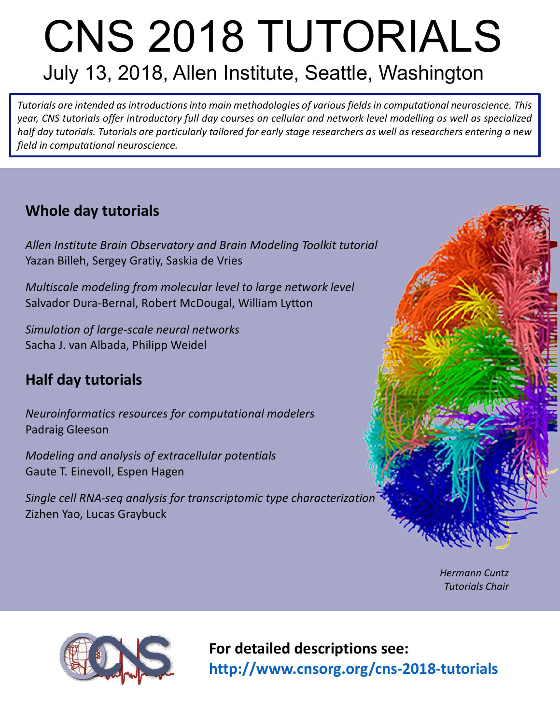# CNS 2018 TUTORIALS July 13, 2018, Allen Institute, Seattle, Washington

*Tutorials are intended as introductions into main methodologies of various fields in computational neuroscience. This year, CNS tutorials offer introductory full day courses on cellular and network level modelling as well as specialized half day tutorials. Tutorials are particularly tailored for early stage researchers as well as researchers entering a new field in computational neuroscience.*

### **Whole day tutorials**

*Allen Institute Brain Observatory and Brain Modeling Toolkit tutorial* Yazan Billeh, Sergey Gratiy, Saskia de Vries

*Multiscale modeling from molecular level to large network level* Salvador Dura-Bernal, Robert McDougal, William Lytton

*Simulation of large-scale neural networks* Sacha J. van Albada, Philipp Weidel

### **Half day tutorials**

*Neuroinformatics resources for computational modelers*  Padraig Gleeson

*Modeling and analysis of extracellular potentials* Gaute T. Einevoll, Espen Hagen

*Single cell RNA-seq analysis for transcriptomic type characterization* Zizhen Yao, Lucas Graybuck



*Hermann Cuntz Tutorials Chair*



**For detailed descriptions see: http://www.cnsorg.org/cns-2018-tutorials**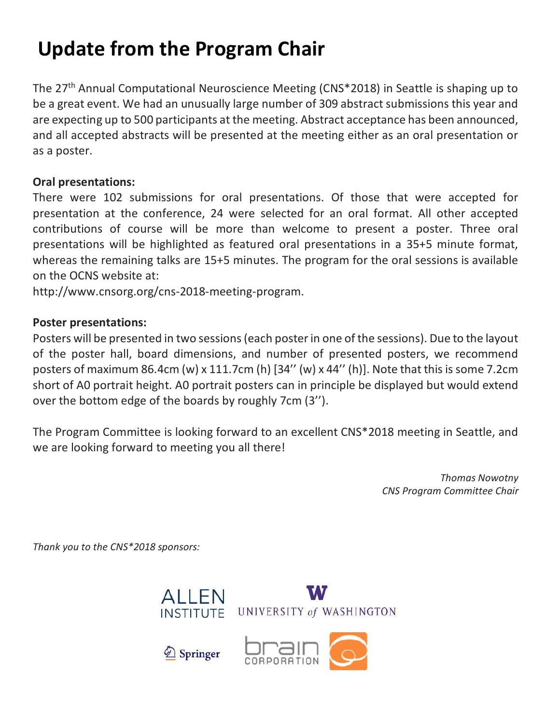### **Update from the Program Chair**

The 27th Annual Computational Neuroscience Meeting (CNS\*2018) in Seattle is shaping up to be a great event. We had an unusually large number of 309 abstract submissions this year and are expecting up to 500 participants at the meeting. Abstract acceptance has been announced, and all accepted abstracts will be presented at the meeting either as an oral presentation or as a poster.

#### **Oral presentations:**

There were 102 submissions for oral presentations. Of those that were accepted for presentation at the conference, 24 were selected for an oral format. All other accepted contributions of course will be more than welcome to present a poster. Three oral presentations will be highlighted as featured oral presentations in a 35+5 minute format, whereas the remaining talks are 15+5 minutes. The program for the oral sessions is available on the OCNS website at:

http://www.cnsorg.org/cns-2018-meeting-program.

#### **Poster presentations:**

Posters will be presented in two sessions (each poster in one of the sessions). Due to the layout of the poster hall, board dimensions, and number of presented posters, we recommend posters of maximum 86.4cm (w) x 111.7cm (h) [34'' (w) x 44'' (h)]. Note that this is some 7.2cm short of A0 portrait height. A0 portrait posters can in principle be displayed but would extend over the bottom edge of the boards by roughly 7cm (3'').

The Program Committee is looking forward to an excellent CNS\*2018 meeting in Seattle, and we are looking forward to meeting you all there!

> *Thomas Nowotny CNS Program Committee Chair*

*Thank you to the CNS\*2018 sponsors:*



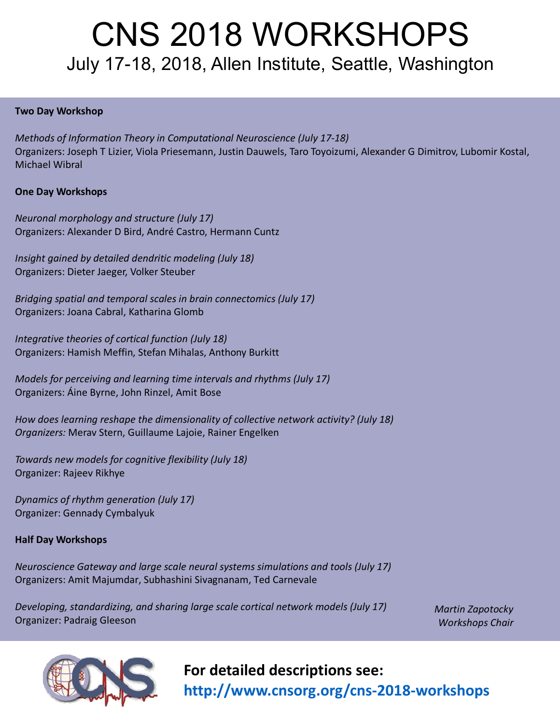## CNS 2018 WORKSHOPS July 17-18, 2018, Allen Institute, Seattle, Washington

#### **Two Day Workshop**

*Methods of Information Theory in Computational Neuroscience (July 17-18)* Organizers: Joseph T Lizier, Viola Priesemann, Justin Dauwels, Taro Toyoizumi, Alexander G Dimitrov, Lubomir Kostal, Michael Wibral

#### **One Day Workshops**

*Neuronal morphology and structure (July 17)* Organizers: Alexander D Bird, André Castro, Hermann Cuntz

*Insight gained by detailed dendritic modeling (July 18)* Organizers: Dieter Jaeger, Volker Steuber

*Bridging spatial and temporal scales in brain connectomics (July 17)* Organizers: Joana Cabral, Katharina Glomb

*Integrative theories of cortical function (July 18)* Organizers: Hamish Meffin, Stefan Mihalas, Anthony Burkitt

*Models for perceiving and learning time intervals and rhythms (July 17)* Organizers: Áine Byrne, John Rinzel, Amit Bose

*How does learning reshape the dimensionality of collective network activity? (July 18) Organizers:* Merav Stern, Guillaume Lajoie, Rainer Engelken

*Towards new models for cognitive flexibility (July 18)* Organizer: Rajeev Rikhye

*Dynamics of rhythm generation (July 17)* Organizer: Gennady Cymbalyuk

#### **Half Day Workshops**

*Neuroscience Gateway and large scale neural systems simulations and tools (July 17)* Organizers: Amit Majumdar, Subhashini Sivagnanam, Ted Carnevale

*Developing, standardizing, and sharing large scale cortical network models (July 17)* Organizer: Padraig Gleeson

*Martin Zapotocky Workshops Chair*



**For detailed descriptions see: http://www.cnsorg.org/cns-2018-workshops**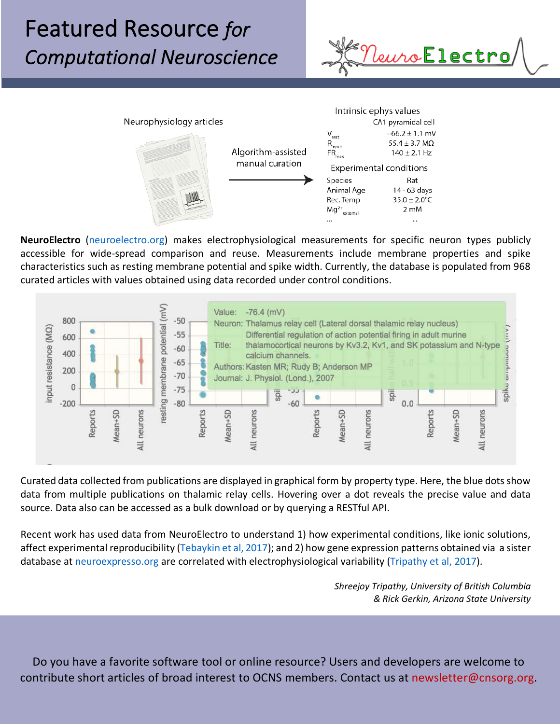## Featured Resource *for Computational Neuroscience*





**NeuroElectro** (neuroelectro.org) makes electrophysiological measurements for specific neuron types publicly accessible for wide-spread comparison and reuse. Measurements include membrane properties and spike characteristics such as resting membrane potential and spike width. Currently, the database is populated from 968 curated articles with values obtained using data recorded under control conditions.



Curated data collected from publications are displayed in graphical form by property type. Here, the blue dots show data from multiple publications on thalamic relay cells. Hovering over a dot reveals the precise value and data source. Data also can be accessed as a bulk download or by querying a RESTful API.

Recent work has used data from NeuroElectro to understand 1) how experimental conditions, like ionic solutions, affect experimental reproducibility (Tebaykin et al, 2017); and 2) how gene expression patterns obtained via a sister database at neuroexpresso.org are correlated with electrophysiological variability (Tripathy et al, 2017).

> *Shreejoy Tripathy, University of British Columbia & Rick Gerkin, Arizona State University*

Do you have a favorite software tool or online resource? Users and developers are welcome to contribute short articles of broad interest to OCNS members. Contact us at newsletter@cnsorg.org.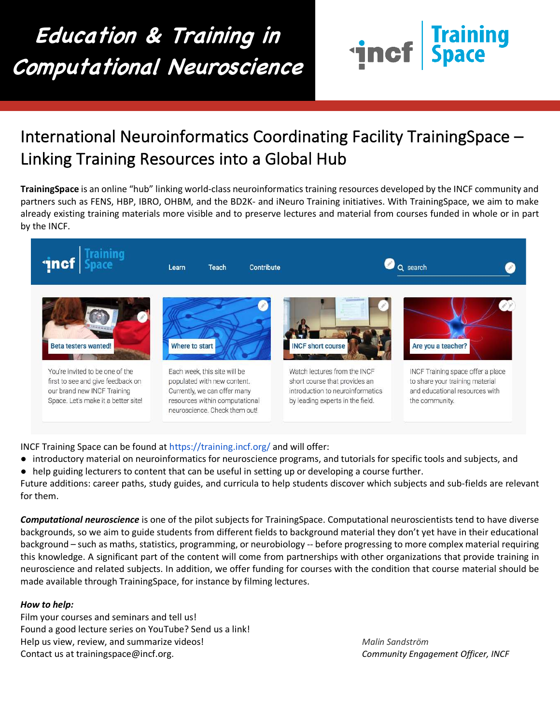## **Education & Training in Computational Neuroscience**



### International Neuroinformatics Coordinating Facility TrainingSpace – Linking Training Resources into a Global Hub

**TrainingSpace** is an online "hub" linking world-class neuroinformatics training resources developed by the INCF community and partners such as FENS, HBP, IBRO, OHBM, and the BD2K- and iNeuro Training initiatives. With TrainingSpace, we aim to make already existing training materials more visible and to preserve lectures and material from courses funded in whole or in part by the INCF.



INCF Training Space can be found at https://training.incf.org/ and will offer:

- introductory material on neuroinformatics for neuroscience programs, and tutorials for specific tools and subjects, and
- help guiding lecturers to content that can be useful in setting up or developing a course further.

Future additions: career paths, study guides, and curricula to help students discover which subjects and sub-fields are relevant for them.

*Computational neuroscience* is one of the pilot subjects for TrainingSpace. Computational neuroscientists tend to have diverse backgrounds, so we aim to guide students from different fields to background material they don't yet have in their educational background – such as maths, statistics, programming, or neurobiology -- before progressing to more complex material requiring this knowledge. A significant part of the content will come from partnerships with other organizations that provide training in neuroscience and related subjects. In addition, we offer funding for courses with the condition that course material should be made available through TrainingSpace, for instance by filming lectures.

#### *How to help:*

 Ξ

> Film your courses and seminars and tell us! Found a good lecture series on YouTube? Send us a link! Help us view, review, and summarize videos! *Malin Sandström* Contact us at trainingspace@incf.org. *Community Engagement Officer, INCF*